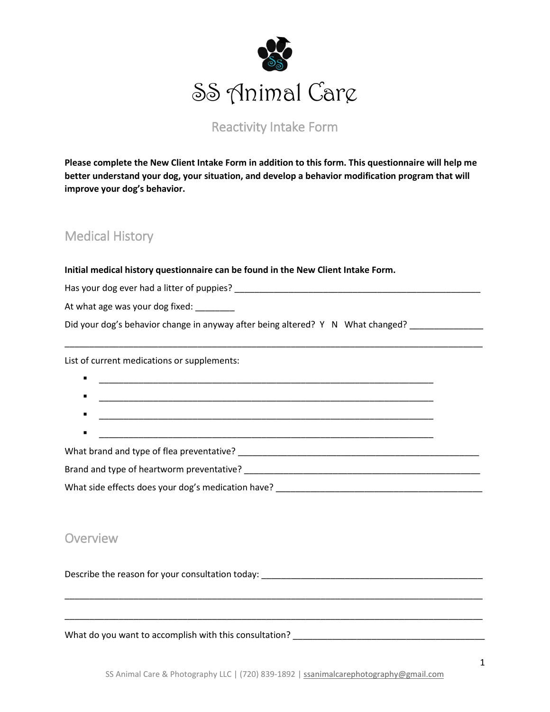

### Reactivity Intake Form

**Please complete the New Client Intake Form in addition to this form. This questionnaire will help me better understand your dog, your situation, and develop a behavior modification program that will improve your dog's behavior.** 

### Medical History

**Initial medical history questionnaire can be found in the New Client Intake Form.** 

Has your dog ever had a litter of puppies? \_\_\_\_\_\_\_\_\_\_\_\_\_\_\_\_\_\_\_\_\_\_\_\_\_\_\_\_\_\_\_\_\_\_\_\_\_\_\_\_\_\_\_\_\_\_\_\_\_\_

At what age was your dog fixed: \_\_\_\_\_\_\_

Did your dog's behavior change in anyway after being altered? Y N What changed? \_\_\_\_\_\_\_\_\_\_\_\_\_

List of current medications or supplements:

| What brand and type of flea preventative? |  |
|-------------------------------------------|--|

\_\_\_\_\_\_\_\_\_\_\_\_\_\_\_\_\_\_\_\_\_\_\_\_\_\_\_\_\_\_\_\_\_\_\_\_\_\_\_\_\_\_\_\_\_\_\_\_\_\_\_\_\_\_\_\_\_\_\_\_\_\_\_\_\_\_\_\_\_\_\_\_\_\_\_\_\_\_\_\_\_\_\_\_\_

Brand and type of heartworm preventative? \_\_\_\_\_\_\_\_\_\_\_\_\_\_\_\_\_\_\_\_\_\_\_\_\_\_\_\_\_\_\_\_\_\_\_\_\_\_\_\_\_\_\_\_\_\_\_\_

What side effects does your dog's medication have? \_\_\_\_\_\_\_\_\_\_\_\_\_\_\_\_\_\_\_\_\_\_\_\_\_\_\_\_\_\_\_\_\_\_\_\_\_\_\_\_\_\_

### **Overview**

Describe the reason for your consultation today: \_\_\_\_\_\_\_\_\_\_\_\_\_\_\_\_\_\_\_\_\_\_\_\_\_\_\_\_\_\_\_

What do you want to accomplish with this consultation? \_\_\_\_\_\_\_\_\_\_\_\_\_\_\_\_\_\_\_\_\_\_\_\_\_\_\_\_\_\_\_\_\_\_\_\_\_\_\_

\_\_\_\_\_\_\_\_\_\_\_\_\_\_\_\_\_\_\_\_\_\_\_\_\_\_\_\_\_\_\_\_\_\_\_\_\_\_\_\_\_\_\_\_\_\_\_\_\_\_\_\_\_\_\_\_\_\_\_\_\_\_\_\_\_\_\_\_\_\_\_\_\_\_\_\_\_\_\_\_\_\_\_\_\_

\_\_\_\_\_\_\_\_\_\_\_\_\_\_\_\_\_\_\_\_\_\_\_\_\_\_\_\_\_\_\_\_\_\_\_\_\_\_\_\_\_\_\_\_\_\_\_\_\_\_\_\_\_\_\_\_\_\_\_\_\_\_\_\_\_\_\_\_\_\_\_\_\_\_\_\_\_\_\_\_\_\_\_\_\_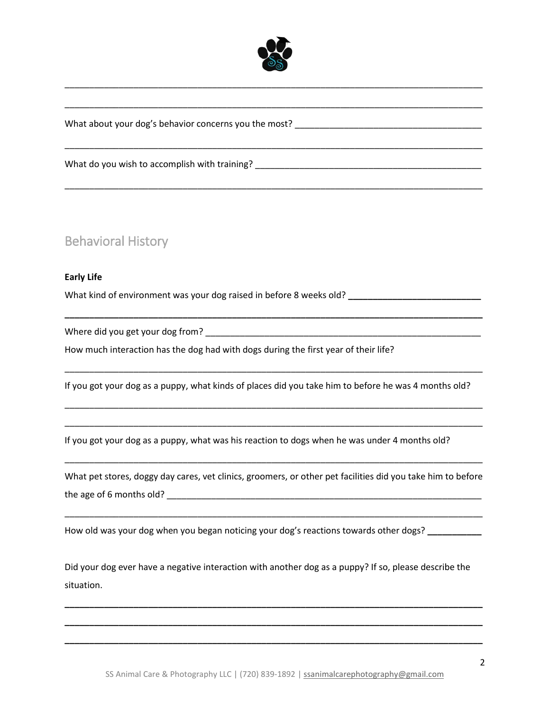

\_\_\_\_\_\_\_\_\_\_\_\_\_\_\_\_\_\_\_\_\_\_\_\_\_\_\_\_\_\_\_\_\_\_\_\_\_\_\_\_\_\_\_\_\_\_\_\_\_\_\_\_\_\_\_\_\_\_\_\_\_\_\_\_\_\_\_\_\_\_\_\_\_\_\_\_\_\_\_\_\_\_\_\_\_

\_\_\_\_\_\_\_\_\_\_\_\_\_\_\_\_\_\_\_\_\_\_\_\_\_\_\_\_\_\_\_\_\_\_\_\_\_\_\_\_\_\_\_\_\_\_\_\_\_\_\_\_\_\_\_\_\_\_\_\_\_\_\_\_\_\_\_\_\_\_\_\_\_\_\_\_\_\_\_\_\_\_\_\_\_

\_\_\_\_\_\_\_\_\_\_\_\_\_\_\_\_\_\_\_\_\_\_\_\_\_\_\_\_\_\_\_\_\_\_\_\_\_\_\_\_\_\_\_\_\_\_\_\_\_\_\_\_\_\_\_\_\_\_\_\_\_\_\_\_\_\_\_\_\_\_\_\_\_\_\_\_\_\_\_\_\_\_\_\_\_

\_\_\_\_\_\_\_\_\_\_\_\_\_\_\_\_\_\_\_\_\_\_\_\_\_\_\_\_\_\_\_\_\_\_\_\_\_\_\_\_\_\_\_\_\_\_\_\_\_\_\_\_\_\_\_\_\_\_\_\_\_\_\_\_\_\_\_\_\_\_\_\_\_\_\_\_\_\_\_\_\_\_\_\_\_

What about your dog's behavior concerns you the most?

What do you wish to accomplish with training?

## Behavioral History

#### **Early Life**

What kind of environment was your dog raised in before 8 weeks old? **\_\_\_\_\_\_\_\_\_\_\_\_\_\_\_\_\_\_\_\_\_\_\_\_\_\_\_**

Where did you get your dog from? \_\_\_\_\_\_\_\_\_\_\_\_\_\_\_\_\_\_\_\_\_\_\_\_\_\_\_\_\_\_\_\_\_\_\_\_\_\_\_\_\_\_\_\_\_\_\_\_\_\_\_\_\_\_\_\_

How much interaction has the dog had with dogs during the first year of their life?

If you got your dog as a puppy, what kinds of places did you take him to before he was 4 months old?

\_\_\_\_\_\_\_\_\_\_\_\_\_\_\_\_\_\_\_\_\_\_\_\_\_\_\_\_\_\_\_\_\_\_\_\_\_\_\_\_\_\_\_\_\_\_\_\_\_\_\_\_\_\_\_\_\_\_\_\_\_\_\_\_\_\_\_\_\_\_\_\_\_\_\_\_\_\_\_\_\_\_\_\_\_

\_\_\_\_\_\_\_\_\_\_\_\_\_\_\_\_\_\_\_\_\_\_\_\_\_\_\_\_\_\_\_\_\_\_\_\_\_\_\_\_\_\_\_\_\_\_\_\_\_\_\_\_\_\_\_\_\_\_\_\_\_\_\_\_\_\_\_\_\_\_\_\_\_\_\_\_\_\_\_\_\_\_\_\_\_

\_\_\_\_\_\_\_\_\_\_\_\_\_\_\_\_\_\_\_\_\_\_\_\_\_\_\_\_\_\_\_\_\_\_\_\_\_\_\_\_\_\_\_\_\_\_\_\_\_\_\_\_\_\_\_\_\_\_\_\_\_\_\_\_\_\_\_\_\_\_\_\_\_\_\_\_\_\_\_\_\_\_\_\_\_

**\_\_\_\_\_\_\_\_\_\_\_\_\_\_\_\_\_\_\_\_\_\_\_\_\_\_\_\_\_\_\_\_\_\_\_\_\_\_\_\_\_\_\_\_\_\_\_\_\_\_\_\_\_\_\_\_\_\_\_\_\_\_\_\_\_\_\_\_\_\_\_\_\_\_\_\_\_\_\_\_\_\_\_\_\_**

If you got your dog as a puppy, what was his reaction to dogs when he was under 4 months old?

What pet stores, doggy day cares, vet clinics, groomers, or other pet facilities did you take him to before the age of 6 months old? \_\_\_\_\_\_\_\_\_\_\_\_\_\_\_\_\_\_\_\_\_\_\_\_\_\_\_\_\_\_\_\_\_\_\_\_\_\_\_\_\_\_\_\_\_\_\_\_\_\_\_\_\_\_\_\_\_\_\_\_\_\_\_\_

\_\_\_\_\_\_\_\_\_\_\_\_\_\_\_\_\_\_\_\_\_\_\_\_\_\_\_\_\_\_\_\_\_\_\_\_\_\_\_\_\_\_\_\_\_\_\_\_\_\_\_\_\_\_\_\_\_\_\_\_\_\_\_\_\_\_\_\_\_\_\_\_\_\_\_\_\_\_\_\_\_\_\_\_\_

\_\_\_\_\_\_\_\_\_\_\_\_\_\_\_\_\_\_\_\_\_\_\_\_\_\_\_\_\_\_\_\_\_\_\_\_\_\_\_\_\_\_\_\_\_\_\_\_\_\_\_\_\_\_\_\_\_\_\_\_\_\_\_\_\_\_\_\_\_\_\_\_\_\_\_\_\_\_\_\_\_\_\_\_\_

How old was your dog when you began noticing your dog's reactions towards other dogs? **\_\_\_\_\_\_\_\_\_\_\_** 

Did your dog ever have a negative interaction with another dog as a puppy? If so, please describe the situation.

**\_\_\_\_\_\_\_\_\_\_\_\_\_\_\_\_\_\_\_\_\_\_\_\_\_\_\_\_\_\_\_\_\_\_\_\_\_\_\_\_\_\_\_\_\_\_\_\_\_\_\_\_\_\_\_\_\_\_\_\_\_\_\_\_\_\_\_\_\_\_\_\_\_\_\_\_\_\_\_\_\_\_\_\_\_**

**\_\_\_\_\_\_\_\_\_\_\_\_\_\_\_\_\_\_\_\_\_\_\_\_\_\_\_\_\_\_\_\_\_\_\_\_\_\_\_\_\_\_\_\_\_\_\_\_\_\_\_\_\_\_\_\_\_\_\_\_\_\_\_\_\_\_\_\_\_\_\_\_\_\_\_\_\_\_\_\_\_\_\_\_\_**

**\_\_\_\_\_\_\_\_\_\_\_\_\_\_\_\_\_\_\_\_\_\_\_\_\_\_\_\_\_\_\_\_\_\_\_\_\_\_\_\_\_\_\_\_\_\_\_\_\_\_\_\_\_\_\_\_\_\_\_\_\_\_\_\_\_\_\_\_\_\_\_\_\_\_\_\_\_\_\_\_\_\_\_\_\_**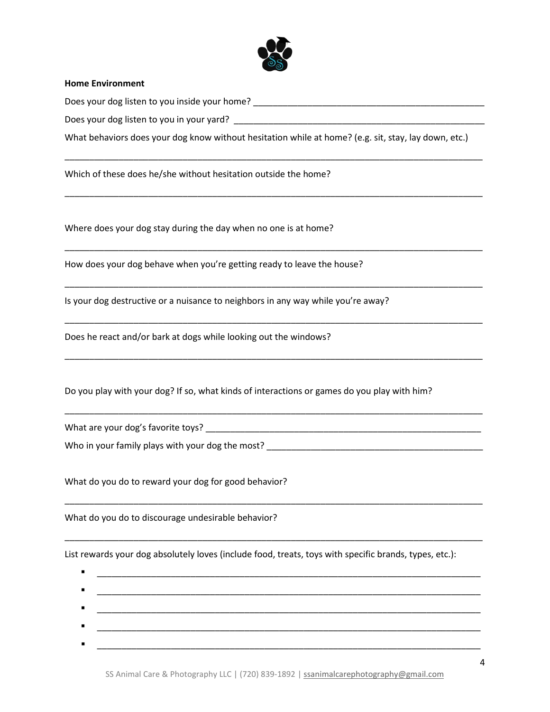

#### **Home Environment**

Does your dog listen to you inside your home? \_\_\_\_\_\_\_\_\_\_\_\_\_\_\_\_\_\_\_\_\_\_\_\_\_\_\_\_\_\_\_\_\_\_\_\_\_\_\_\_\_\_\_\_\_\_\_

Does your dog listen to you in your yard? \_\_\_\_\_\_\_\_\_\_\_\_\_\_\_\_\_\_\_\_\_\_\_\_\_\_\_\_\_\_\_\_\_\_\_\_\_\_\_\_\_\_\_\_\_\_\_\_\_\_\_

What behaviors does your dog know without hesitation while at home? (e.g. sit, stay, lay down, etc.)

\_\_\_\_\_\_\_\_\_\_\_\_\_\_\_\_\_\_\_\_\_\_\_\_\_\_\_\_\_\_\_\_\_\_\_\_\_\_\_\_\_\_\_\_\_\_\_\_\_\_\_\_\_\_\_\_\_\_\_\_\_\_\_\_\_\_\_\_\_\_\_\_\_\_\_\_\_\_\_\_\_\_\_\_\_

\_\_\_\_\_\_\_\_\_\_\_\_\_\_\_\_\_\_\_\_\_\_\_\_\_\_\_\_\_\_\_\_\_\_\_\_\_\_\_\_\_\_\_\_\_\_\_\_\_\_\_\_\_\_\_\_\_\_\_\_\_\_\_\_\_\_\_\_\_\_\_\_\_\_\_\_\_\_\_\_\_\_\_\_\_

\_\_\_\_\_\_\_\_\_\_\_\_\_\_\_\_\_\_\_\_\_\_\_\_\_\_\_\_\_\_\_\_\_\_\_\_\_\_\_\_\_\_\_\_\_\_\_\_\_\_\_\_\_\_\_\_\_\_\_\_\_\_\_\_\_\_\_\_\_\_\_\_\_\_\_\_\_\_\_\_\_\_\_\_\_

\_\_\_\_\_\_\_\_\_\_\_\_\_\_\_\_\_\_\_\_\_\_\_\_\_\_\_\_\_\_\_\_\_\_\_\_\_\_\_\_\_\_\_\_\_\_\_\_\_\_\_\_\_\_\_\_\_\_\_\_\_\_\_\_\_\_\_\_\_\_\_\_\_\_\_\_\_\_\_\_\_\_\_\_\_

\_\_\_\_\_\_\_\_\_\_\_\_\_\_\_\_\_\_\_\_\_\_\_\_\_\_\_\_\_\_\_\_\_\_\_\_\_\_\_\_\_\_\_\_\_\_\_\_\_\_\_\_\_\_\_\_\_\_\_\_\_\_\_\_\_\_\_\_\_\_\_\_\_\_\_\_\_\_\_\_\_\_\_\_\_

\_\_\_\_\_\_\_\_\_\_\_\_\_\_\_\_\_\_\_\_\_\_\_\_\_\_\_\_\_\_\_\_\_\_\_\_\_\_\_\_\_\_\_\_\_\_\_\_\_\_\_\_\_\_\_\_\_\_\_\_\_\_\_\_\_\_\_\_\_\_\_\_\_\_\_\_\_\_\_\_\_\_\_\_\_

\_\_\_\_\_\_\_\_\_\_\_\_\_\_\_\_\_\_\_\_\_\_\_\_\_\_\_\_\_\_\_\_\_\_\_\_\_\_\_\_\_\_\_\_\_\_\_\_\_\_\_\_\_\_\_\_\_\_\_\_\_\_\_\_\_\_\_\_\_\_\_\_\_\_\_\_\_\_\_\_\_\_\_\_\_

\_\_\_\_\_\_\_\_\_\_\_\_\_\_\_\_\_\_\_\_\_\_\_\_\_\_\_\_\_\_\_\_\_\_\_\_\_\_\_\_\_\_\_\_\_\_\_\_\_\_\_\_\_\_\_\_\_\_\_\_\_\_\_\_\_\_\_\_\_\_\_\_\_\_\_\_\_\_\_\_\_\_\_\_\_

\_\_\_\_\_\_\_\_\_\_\_\_\_\_\_\_\_\_\_\_\_\_\_\_\_\_\_\_\_\_\_\_\_\_\_\_\_\_\_\_\_\_\_\_\_\_\_\_\_\_\_\_\_\_\_\_\_\_\_\_\_\_\_\_\_\_\_\_\_\_\_\_\_\_\_\_\_\_\_\_\_\_\_\_\_

Which of these does he/she without hesitation outside the home?

Where does your dog stay during the day when no one is at home?

How does your dog behave when you're getting ready to leave the house?

Is your dog destructive or a nuisance to neighbors in any way while you're away?

Does he react and/or bark at dogs while looking out the windows?

Do you play with your dog? If so, what kinds of interactions or games do you play with him?

What are your dog's favorite toys? \_\_\_\_\_\_\_\_\_\_\_\_\_\_\_\_\_\_\_\_\_\_\_\_\_\_\_\_\_\_\_\_\_\_\_\_\_\_\_\_\_\_\_\_\_\_\_\_\_\_\_\_\_\_\_\_

Who in your family plays with your dog the most?

What do you do to reward your dog for good behavior?

What do you do to discourage undesirable behavior?

List rewards your dog absolutely loves (include food, treats, toys with specific brands, types, etc.):

| ٠ |  |
|---|--|
| ٠ |  |
|   |  |
| п |  |
|   |  |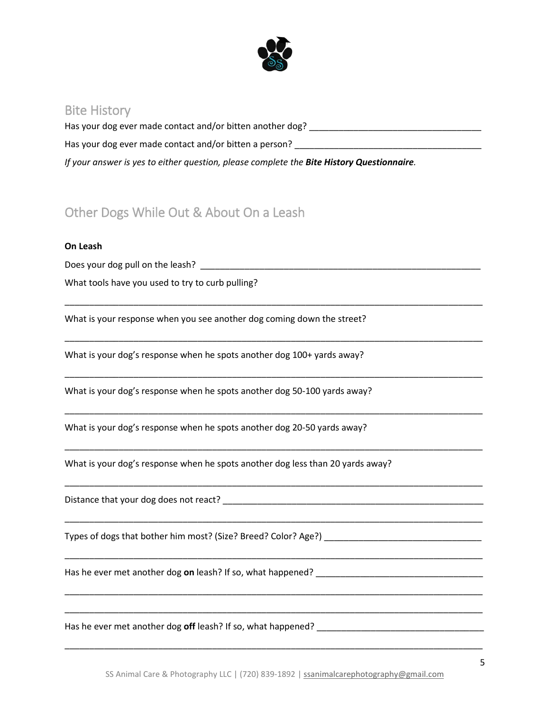

### Bite History

Has your dog ever made contact and/or bitten another dog? \_\_\_\_\_\_\_\_\_\_\_\_\_\_\_\_\_\_\_\_\_\_\_\_\_\_\_\_\_\_\_\_\_\_\_ Has your dog ever made contact and/or bitten a person? \_\_\_\_\_\_\_\_\_\_\_\_\_\_\_\_\_\_\_\_\_\_\_\_\_ *If your answer is yes to either question, please complete the Bite History Questionnaire.* 

\_\_\_\_\_\_\_\_\_\_\_\_\_\_\_\_\_\_\_\_\_\_\_\_\_\_\_\_\_\_\_\_\_\_\_\_\_\_\_\_\_\_\_\_\_\_\_\_\_\_\_\_\_\_\_\_\_\_\_\_\_\_\_\_\_\_\_\_\_\_\_\_\_\_\_\_\_\_\_\_\_\_\_\_\_

\_\_\_\_\_\_\_\_\_\_\_\_\_\_\_\_\_\_\_\_\_\_\_\_\_\_\_\_\_\_\_\_\_\_\_\_\_\_\_\_\_\_\_\_\_\_\_\_\_\_\_\_\_\_\_\_\_\_\_\_\_\_\_\_\_\_\_\_\_\_\_\_\_\_\_\_\_\_\_\_\_\_\_\_\_

\_\_\_\_\_\_\_\_\_\_\_\_\_\_\_\_\_\_\_\_\_\_\_\_\_\_\_\_\_\_\_\_\_\_\_\_\_\_\_\_\_\_\_\_\_\_\_\_\_\_\_\_\_\_\_\_\_\_\_\_\_\_\_\_\_\_\_\_\_\_\_\_\_\_\_\_\_\_\_\_\_\_\_\_\_

\_\_\_\_\_\_\_\_\_\_\_\_\_\_\_\_\_\_\_\_\_\_\_\_\_\_\_\_\_\_\_\_\_\_\_\_\_\_\_\_\_\_\_\_\_\_\_\_\_\_\_\_\_\_\_\_\_\_\_\_\_\_\_\_\_\_\_\_\_\_\_\_\_\_\_\_\_\_\_\_\_\_\_\_\_

\_\_\_\_\_\_\_\_\_\_\_\_\_\_\_\_\_\_\_\_\_\_\_\_\_\_\_\_\_\_\_\_\_\_\_\_\_\_\_\_\_\_\_\_\_\_\_\_\_\_\_\_\_\_\_\_\_\_\_\_\_\_\_\_\_\_\_\_\_\_\_\_\_\_\_\_\_\_\_\_\_\_\_\_\_

\_\_\_\_\_\_\_\_\_\_\_\_\_\_\_\_\_\_\_\_\_\_\_\_\_\_\_\_\_\_\_\_\_\_\_\_\_\_\_\_\_\_\_\_\_\_\_\_\_\_\_\_\_\_\_\_\_\_\_\_\_\_\_\_\_\_\_\_\_\_\_\_\_\_\_\_\_\_\_\_\_\_\_\_\_

\_\_\_\_\_\_\_\_\_\_\_\_\_\_\_\_\_\_\_\_\_\_\_\_\_\_\_\_\_\_\_\_\_\_\_\_\_\_\_\_\_\_\_\_\_\_\_\_\_\_\_\_\_\_\_\_\_\_\_\_\_\_\_\_\_\_\_\_\_\_\_\_\_\_\_\_\_\_\_\_\_\_\_\_\_

\_\_\_\_\_\_\_\_\_\_\_\_\_\_\_\_\_\_\_\_\_\_\_\_\_\_\_\_\_\_\_\_\_\_\_\_\_\_\_\_\_\_\_\_\_\_\_\_\_\_\_\_\_\_\_\_\_\_\_\_\_\_\_\_\_\_\_\_\_\_\_\_\_\_\_\_\_\_\_\_\_\_\_\_\_

\_\_\_\_\_\_\_\_\_\_\_\_\_\_\_\_\_\_\_\_\_\_\_\_\_\_\_\_\_\_\_\_\_\_\_\_\_\_\_\_\_\_\_\_\_\_\_\_\_\_\_\_\_\_\_\_\_\_\_\_\_\_\_\_\_\_\_\_\_\_\_\_\_\_\_\_\_\_\_\_\_\_\_\_\_

\_\_\_\_\_\_\_\_\_\_\_\_\_\_\_\_\_\_\_\_\_\_\_\_\_\_\_\_\_\_\_\_\_\_\_\_\_\_\_\_\_\_\_\_\_\_\_\_\_\_\_\_\_\_\_\_\_\_\_\_\_\_\_\_\_\_\_\_\_\_\_\_\_\_\_\_\_\_\_\_\_\_\_\_\_

# Other Dogs While Out & About On a Leash

### **On Leash**

Does your dog pull on the leash? \_\_\_\_\_\_\_\_\_\_\_\_\_\_\_\_\_\_\_\_\_\_\_\_\_\_\_\_\_\_\_\_\_\_\_\_\_\_\_\_\_\_\_\_\_\_\_\_\_\_\_\_\_\_\_\_\_

What tools have you used to try to curb pulling?

What is your response when you see another dog coming down the street?

What is your dog's response when he spots another dog 100+ yards away?

What is your dog's response when he spots another dog 50-100 yards away?

What is your dog's response when he spots another dog 20-50 yards away?

What is your dog's response when he spots another dog less than 20 yards away?

Distance that your dog does not react? \_\_\_\_\_\_\_\_\_\_\_\_\_\_\_\_\_\_\_\_\_\_\_\_\_\_\_\_\_\_\_\_\_\_\_\_\_\_\_\_\_\_\_\_\_\_\_\_\_\_\_\_\_

Types of dogs that bother him most? (Size? Breed? Color? Age?) \_\_\_\_\_\_\_\_\_\_\_\_\_\_\_\_\_

Has he ever met another dog **on** leash? If so, what happened? \_\_\_\_\_\_\_\_\_\_\_\_\_\_\_\_\_\_\_\_\_\_\_\_\_\_\_\_\_\_\_\_\_\_

Has he ever met another dog **off** leash? If so, what happened? \_\_\_\_\_\_\_\_\_\_\_\_\_\_\_\_\_\_\_\_\_\_\_\_\_\_\_\_\_\_\_\_\_\_

\_\_\_\_\_\_\_\_\_\_\_\_\_\_\_\_\_\_\_\_\_\_\_\_\_\_\_\_\_\_\_\_\_\_\_\_\_\_\_\_\_\_\_\_\_\_\_\_\_\_\_\_\_\_\_\_\_\_\_\_\_\_\_\_\_\_\_\_\_\_\_\_\_\_\_\_\_\_\_\_\_\_\_\_\_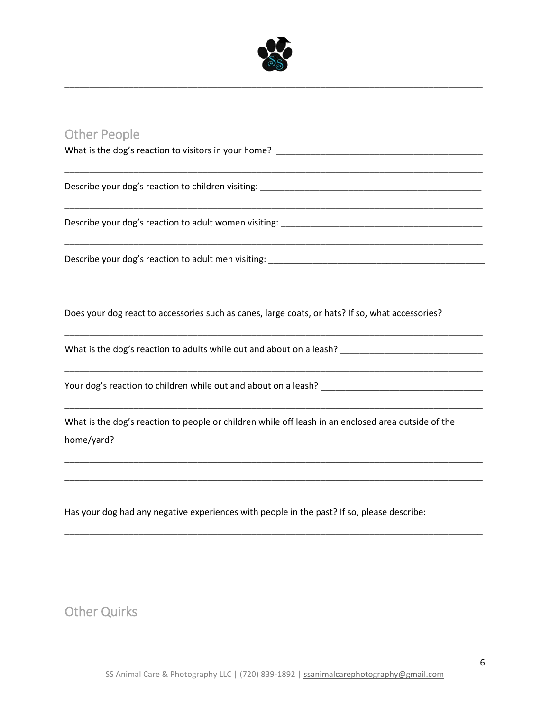

\_\_\_\_\_\_\_\_\_\_\_\_\_\_\_\_\_\_\_\_\_\_\_\_\_\_\_\_\_\_\_\_\_\_\_\_\_\_\_\_\_\_\_\_\_\_\_\_\_\_\_\_\_\_\_\_\_\_\_\_\_\_\_\_\_\_\_\_\_\_\_\_\_\_\_\_\_\_\_\_\_\_\_\_\_

\_\_\_\_\_\_\_\_\_\_\_\_\_\_\_\_\_\_\_\_\_\_\_\_\_\_\_\_\_\_\_\_\_\_\_\_\_\_\_\_\_\_\_\_\_\_\_\_\_\_\_\_\_\_\_\_\_\_\_\_\_\_\_\_\_\_\_\_\_\_\_\_\_\_\_\_\_\_\_\_\_\_\_\_\_

\_\_\_\_\_\_\_\_\_\_\_\_\_\_\_\_\_\_\_\_\_\_\_\_\_\_\_\_\_\_\_\_\_\_\_\_\_\_\_\_\_\_\_\_\_\_\_\_\_\_\_\_\_\_\_\_\_\_\_\_\_\_\_\_\_\_\_\_\_\_\_\_\_\_\_\_\_\_\_\_\_\_\_\_\_

\_\_\_\_\_\_\_\_\_\_\_\_\_\_\_\_\_\_\_\_\_\_\_\_\_\_\_\_\_\_\_\_\_\_\_\_\_\_\_\_\_\_\_\_\_\_\_\_\_\_\_\_\_\_\_\_\_\_\_\_\_\_\_\_\_\_\_\_\_\_\_\_\_\_\_\_\_\_\_\_\_\_\_\_\_

\_\_\_\_\_\_\_\_\_\_\_\_\_\_\_\_\_\_\_\_\_\_\_\_\_\_\_\_\_\_\_\_\_\_\_\_\_\_\_\_\_\_\_\_\_\_\_\_\_\_\_\_\_\_\_\_\_\_\_\_\_\_\_\_\_\_\_\_\_\_\_\_\_\_\_\_\_\_\_\_\_\_\_\_\_

\_\_\_\_\_\_\_\_\_\_\_\_\_\_\_\_\_\_\_\_\_\_\_\_\_\_\_\_\_\_\_\_\_\_\_\_\_\_\_\_\_\_\_\_\_\_\_\_\_\_\_\_\_\_\_\_\_\_\_\_\_\_\_\_\_\_\_\_\_\_\_\_\_\_\_\_\_\_\_\_\_\_\_\_\_

\_\_\_\_\_\_\_\_\_\_\_\_\_\_\_\_\_\_\_\_\_\_\_\_\_\_\_\_\_\_\_\_\_\_\_\_\_\_\_\_\_\_\_\_\_\_\_\_\_\_\_\_\_\_\_\_\_\_\_\_\_\_\_\_\_\_\_\_\_\_\_\_\_\_\_\_\_\_\_\_\_\_\_\_\_

\_\_\_\_\_\_\_\_\_\_\_\_\_\_\_\_\_\_\_\_\_\_\_\_\_\_\_\_\_\_\_\_\_\_\_\_\_\_\_\_\_\_\_\_\_\_\_\_\_\_\_\_\_\_\_\_\_\_\_\_\_\_\_\_\_\_\_\_\_\_\_\_\_\_\_\_\_\_\_\_\_\_\_\_\_

\_\_\_\_\_\_\_\_\_\_\_\_\_\_\_\_\_\_\_\_\_\_\_\_\_\_\_\_\_\_\_\_\_\_\_\_\_\_\_\_\_\_\_\_\_\_\_\_\_\_\_\_\_\_\_\_\_\_\_\_\_\_\_\_\_\_\_\_\_\_\_\_\_\_\_\_\_\_\_\_\_\_\_\_\_

\_\_\_\_\_\_\_\_\_\_\_\_\_\_\_\_\_\_\_\_\_\_\_\_\_\_\_\_\_\_\_\_\_\_\_\_\_\_\_\_\_\_\_\_\_\_\_\_\_\_\_\_\_\_\_\_\_\_\_\_\_\_\_\_\_\_\_\_\_\_\_\_\_\_\_\_\_\_\_\_\_\_\_\_\_

\_\_\_\_\_\_\_\_\_\_\_\_\_\_\_\_\_\_\_\_\_\_\_\_\_\_\_\_\_\_\_\_\_\_\_\_\_\_\_\_\_\_\_\_\_\_\_\_\_\_\_\_\_\_\_\_\_\_\_\_\_\_\_\_\_\_\_\_\_\_\_\_\_\_\_\_\_\_\_\_\_\_\_\_\_

\_\_\_\_\_\_\_\_\_\_\_\_\_\_\_\_\_\_\_\_\_\_\_\_\_\_\_\_\_\_\_\_\_\_\_\_\_\_\_\_\_\_\_\_\_\_\_\_\_\_\_\_\_\_\_\_\_\_\_\_\_\_\_\_\_\_\_\_\_\_\_\_\_\_\_\_\_\_\_\_\_\_\_\_\_

\_\_\_\_\_\_\_\_\_\_\_\_\_\_\_\_\_\_\_\_\_\_\_\_\_\_\_\_\_\_\_\_\_\_\_\_\_\_\_\_\_\_\_\_\_\_\_\_\_\_\_\_\_\_\_\_\_\_\_\_\_\_\_\_\_\_\_\_\_\_\_\_\_\_\_\_\_\_\_\_\_\_\_\_\_

### Other People

What is the dog's reaction to visitors in your home? \_\_\_\_\_\_\_\_\_\_\_\_\_\_\_\_\_\_\_\_\_\_\_\_\_\_\_

Describe your dog's reaction to children visiting:

Describe your dog's reaction to adult women visiting:

Describe your dog's reaction to adult men visiting: \_\_\_\_\_\_\_\_\_\_\_\_\_\_\_\_\_\_\_\_\_\_\_\_\_\_\_\_\_\_\_\_\_\_\_\_\_\_\_\_\_\_\_\_

Does your dog react to accessories such as canes, large coats, or hats? If so, what accessories?

What is the dog's reaction to adults while out and about on a leash? \_\_\_\_\_\_\_\_\_\_\_\_\_\_\_\_\_\_\_\_\_\_\_\_\_\_\_\_\_\_

Your dog's reaction to children while out and about on a leash? \_\_\_\_\_\_\_\_\_\_\_\_\_\_\_\_\_\_\_\_\_\_\_\_\_\_\_\_\_\_\_\_\_

What is the dog's reaction to people or children while off leash in an enclosed area outside of the home/yard?

Has your dog had any negative experiences with people in the past? If so, please describe:

Other Quirks